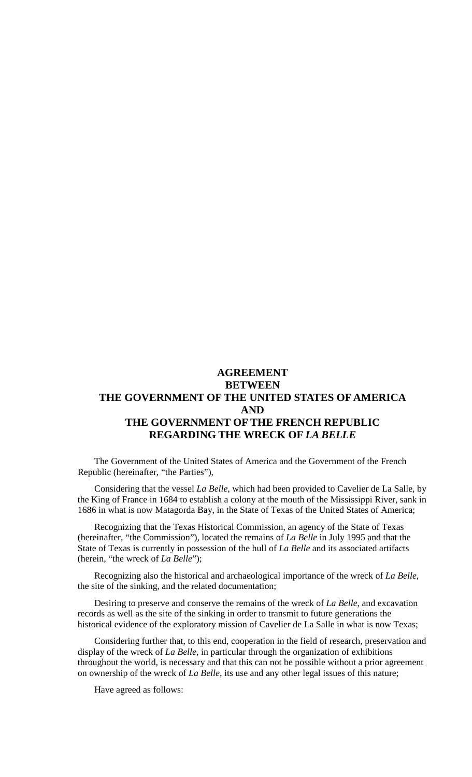# **AGREEMENT BETWEEN THE GOVERNMENT OF THE UNITED STATES OF AMERICA AND THE GOVERNMENT OF THE FRENCH REPUBLIC REGARDING THE WRECK OF** *LA BELLE*

The Government of the United States of America and the Government of the French Republic (hereinafter, "the Parties"),

Considering that the vessel *La Belle*, which had been provided to Cavelier de La Salle, by the King of France in 1684 to establish a colony at the mouth of the Mississippi River, sank in 1686 in what is now Matagorda Bay, in the State of Texas of the United States of America;

Recognizing that the Texas Historical Commission, an agency of the State of Texas (hereinafter, "the Commission"), located the remains of *La Belle* in July 1995 and that the State of Texas is currently in possession of the hull of *La Belle* and its associated artifacts (herein, "the wreck of *La Belle*");

Recognizing also the historical and archaeological importance of the wreck of *La Belle*, the site of the sinking, and the related documentation;

Desiring to preserve and conserve the remains of the wreck of *La Belle*, and excavation records as well as the site of the sinking in order to transmit to future generations the historical evidence of the exploratory mission of Cavelier de La Salle in what is now Texas;

Considering further that, to this end, cooperation in the field of research, preservation and display of the wreck of *La Belle*, in particular through the organization of exhibitions throughout the world, is necessary and that this can not be possible without a prior agreement on ownership of the wreck of *La Belle*, its use and any other legal issues of this nature;

Have agreed as follows: